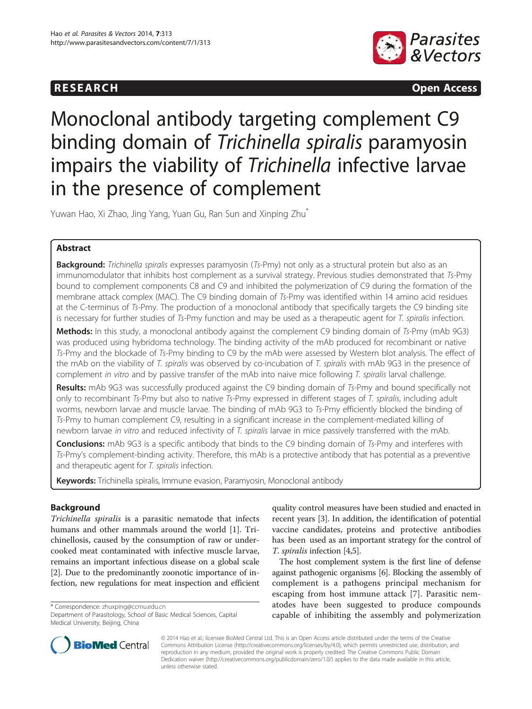# **RESEARCH CHINESEARCH CHINESEARCH CHINESE**



# Monoclonal antibody targeting complement C9 binding domain of Trichinella spiralis paramyosin impairs the viability of Trichinella infective larvae in the presence of complement

Yuwan Hao, Xi Zhao, Jing Yang, Yuan Gu, Ran Sun and Xinping Zhu<sup>\*</sup>

# Abstract

Background: Trichinella spiralis expresses paramyosin (Ts-Pmy) not only as a structural protein but also as an immunomodulator that inhibits host complement as a survival strategy. Previous studies demonstrated that Ts-Pmy bound to complement components C8 and C9 and inhibited the polymerization of C9 during the formation of the membrane attack complex (MAC). The C9 binding domain of Ts-Pmy was identified within 14 amino acid residues at the C-terminus of Ts-Pmy. The production of a monoclonal antibody that specifically targets the C9 binding site is necessary for further studies of Ts-Pmy function and may be used as a therapeutic agent for T. spiralis infection.

Methods: In this study, a monoclonal antibody against the complement C9 binding domain of Ts-Pmy (mAb 9G3) was produced using hybridoma technology. The binding activity of the mAb produced for recombinant or native Ts-Pmy and the blockade of Ts-Pmy binding to C9 by the mAb were assessed by Western blot analysis. The effect of the mAb on the viability of T. spiralis was observed by co-incubation of T. spiralis with mAb 9G3 in the presence of complement in vitro and by passive transfer of the mAb into naive mice following T. spiralis larval challenge.

Results: mAb 9G3 was successfully produced against the C9 binding domain of Ts-Pmy and bound specifically not only to recombinant Ts-Pmy but also to native Ts-Pmy expressed in different stages of T. spiralis, including adult worms, newborn larvae and muscle larvae. The binding of mAb 9G3 to Ts-Pmy efficiently blocked the binding of Ts-Pmy to human complement C9, resulting in a significant increase in the complement-mediated killing of newborn larvae in vitro and reduced infectivity of T. spiralis larvae in mice passively transferred with the mAb.

**Conclusions:** mAb 9G3 is a specific antibody that binds to the C9 binding domain of Ts-Pmy and interferes with Ts-Pmy's complement-binding activity. Therefore, this mAb is a protective antibody that has potential as a preventive and therapeutic agent for T. spiralis infection.

Keywords: Trichinella spiralis, Immune evasion, Paramyosin, Monoclonal antibody

# Background

Trichinella spiralis is a parasitic nematode that infects humans and other mammals around the world [\[1](#page-6-0)]. Trichinellosis, caused by the consumption of raw or undercooked meat contaminated with infective muscle larvae, remains an important infectious disease on a global scale [[2\]](#page-6-0). Due to the predominantly zoonotic importance of infection, new regulations for meat inspection and efficient

\* Correspondence: [zhuxping@ccmu.edu.cn](mailto:zhuxping@ccmu.edu.cn)

Department of Parasitology, School of Basic Medical Sciences, Capital Medical University, Beijing, China



The host complement system is the first line of defense against pathogenic organisms [\[6\]](#page-6-0). Blocking the assembly of complement is a pathogens principal mechanism for escaping from host immune attack [\[7](#page-6-0)]. Parasitic nematodes have been suggested to produce compounds capable of inhibiting the assembly and polymerization



© 2014 Hao et al.; licensee BioMed Central Ltd. This is an Open Access article distributed under the terms of the Creative Commons Attribution License [\(http://creativecommons.org/licenses/by/4.0\)](http://creativecommons.org/licenses/by/4.0), which permits unrestricted use, distribution, and reproduction in any medium, provided the original work is properly credited. The Creative Commons Public Domain Dedication waiver [\(http://creativecommons.org/publicdomain/zero/1.0/](http://creativecommons.org/publicdomain/zero/1.0/)) applies to the data made available in this article, unless otherwise stated.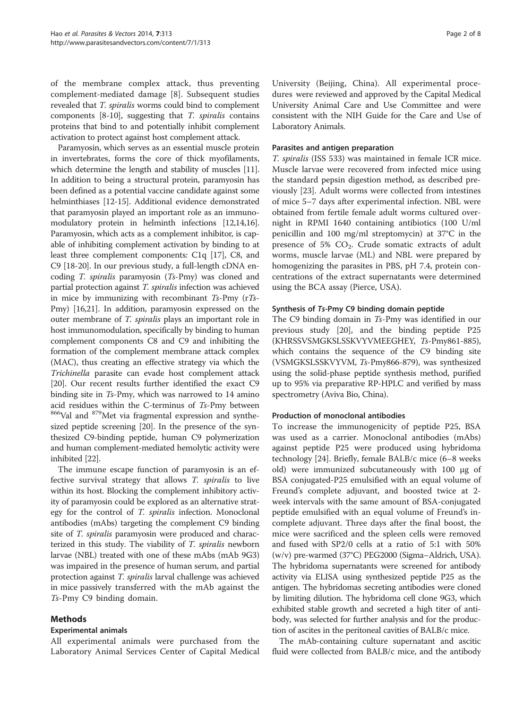of the membrane complex attack, thus preventing complement-mediated damage [\[8](#page-6-0)]. Subsequent studies revealed that T. spiralis worms could bind to complement components [\[8](#page-6-0)-[10](#page-6-0)], suggesting that T. spiralis contains proteins that bind to and potentially inhibit complement activation to protect against host complement attack.

Paramyosin, which serves as an essential muscle protein in invertebrates, forms the core of thick myofilaments, which determine the length and stability of muscles [[11](#page-6-0)]. In addition to being a structural protein, paramyosin has been defined as a potential vaccine candidate against some helminthiases [[12](#page-6-0)-[15](#page-6-0)]. Additional evidence demonstrated that paramyosin played an important role as an immunomodulatory protein in helminth infections [\[12,14,16](#page-6-0)]. Paramyosin, which acts as a complement inhibitor, is capable of inhibiting complement activation by binding to at least three complement components: C1q [[17](#page-6-0)], C8, and C9 [\[18-20\]](#page-6-0). In our previous study, a full-length cDNA encoding T. spiralis paramyosin (Ts-Pmy) was cloned and partial protection against T. spiralis infection was achieved in mice by immunizing with recombinant Ts-Pmy (rTs-Pmy) [\[16,21\]](#page-6-0). In addition, paramyosin expressed on the outer membrane of T. spiralis plays an important role in host immunomodulation, specifically by binding to human complement components C8 and C9 and inhibiting the formation of the complement membrane attack complex (MAC), thus creating an effective strategy via which the Trichinella parasite can evade host complement attack [[20](#page-6-0)]. Our recent results further identified the exact C9 binding site in Ts-Pmy, which was narrowed to 14 amino acid residues within the C-terminus of  $T_s$ -Pmy between  $866$ Val and  $879$ Met via fragmental expression and synthesized peptide screening [[20](#page-6-0)]. In the presence of the synthesized C9-binding peptide, human C9 polymerization and human complement-mediated hemolytic activity were inhibited [\[22\]](#page-6-0).

The immune escape function of paramyosin is an effective survival strategy that allows T. spiralis to live within its host. Blocking the complement inhibitory activity of paramyosin could be explored as an alternative strategy for the control of T. spiralis infection. Monoclonal antibodies (mAbs) targeting the complement C9 binding site of *T. spiralis* paramyosin were produced and characterized in this study. The viability of T. spiralis newborn larvae (NBL) treated with one of these mAbs (mAb 9G3) was impaired in the presence of human serum, and partial protection against T. spiralis larval challenge was achieved in mice passively transferred with the mAb against the Ts-Pmy C9 binding domain.

### Methods

### Experimental animals

All experimental animals were purchased from the Laboratory Animal Services Center of Capital Medical

University (Beijing, China). All experimental procedures were reviewed and approved by the Capital Medical University Animal Care and Use Committee and were consistent with the NIH Guide for the Care and Use of Laboratory Animals.

# Parasites and antigen preparation

T. spiralis (ISS 533) was maintained in female ICR mice. Muscle larvae were recovered from infected mice using the standard pepsin digestion method, as described previously [\[23](#page-6-0)]. Adult worms were collected from intestines of mice 5–7 days after experimental infection. NBL were obtained from fertile female adult worms cultured overnight in RPMI 1640 containing antibiotics (100 U/ml penicillin and 100 mg/ml streptomycin) at 37°C in the presence of 5%  $CO<sub>2</sub>$ . Crude somatic extracts of adult worms, muscle larvae (ML) and NBL were prepared by homogenizing the parasites in PBS, pH 7.4, protein concentrations of the extract supernatants were determined using the BCA assay (Pierce, USA).

### Synthesis of Ts-Pmy C9 binding domain peptide

The C9 binding domain in Ts-Pmy was identified in our previous study [\[20\]](#page-6-0), and the binding peptide P25 (KHRSSVSMGKSLSSKVYVMEEGHEY, Ts-Pmy861-885), which contains the sequence of the C9 binding site (VSMGKSLSSKVYVM, Ts-Pmy866-879), was synthesized using the solid-phase peptide synthesis method, purified up to 95% via preparative RP-HPLC and verified by mass spectrometry (Aviva Bio, China).

### Production of monoclonal antibodies

To increase the immunogenicity of peptide P25, BSA was used as a carrier. Monoclonal antibodies (mAbs) against peptide P25 were produced using hybridoma technology [[24](#page-6-0)]. Briefly, female BALB/c mice (6–8 weeks old) were immunized subcutaneously with 100 μg of BSA conjugated-P25 emulsified with an equal volume of Freund's complete adjuvant, and boosted twice at 2 week intervals with the same amount of BSA-conjugated peptide emulsified with an equal volume of Freund's incomplete adjuvant. Three days after the final boost, the mice were sacrificed and the spleen cells were removed and fused with SP2/0 cells at a ratio of 5:1 with 50% (w/v) pre-warmed (37°C) PEG2000 (Sigma–Aldrich, USA). The hybridoma supernatants were screened for antibody activity via ELISA using synthesized peptide P25 as the antigen. The hybridomas secreting antibodies were cloned by limiting dilution. The hybridoma cell clone 9G3, which exhibited stable growth and secreted a high titer of antibody, was selected for further analysis and for the production of ascites in the peritoneal cavities of BALB/c mice.

The mAb-containing culture supernatant and ascitic fluid were collected from BALB/c mice, and the antibody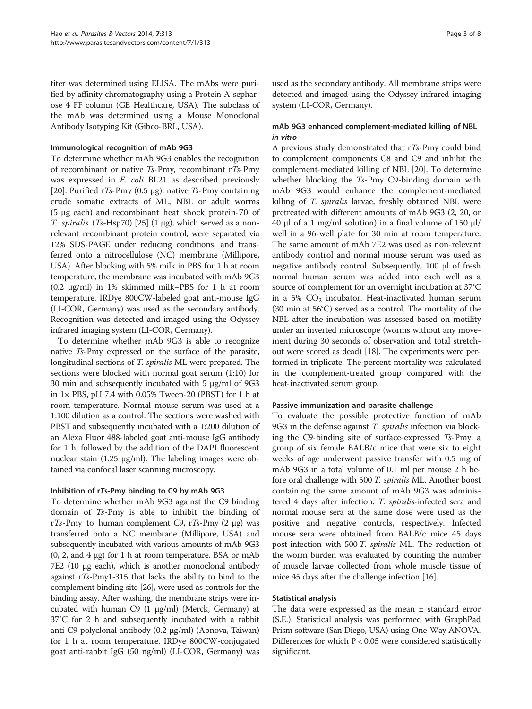titer was determined using ELISA. The mAbs were purified by affinity chromatography using a Protein A sepharose 4 FF column (GE Healthcare, USA). The subclass of the mAb was determined using a Mouse Monoclonal Antibody Isotyping Kit (Gibco-BRL, USA).

# Immunological recognition of mAb 9G3

To determine whether mAb 9G3 enables the recognition of recombinant or native Ts-Pmy, recombinant rTs-Pmy was expressed in E. coli BL21 as described previously [[20\]](#page-6-0). Purified rTs-Pmy (0.5  $\mu$ g), native Ts-Pmy containing crude somatic extracts of ML, NBL or adult worms (5 μg each) and recombinant heat shock protein-70 of T. spiralis (Ts-Hsp70) [[25](#page-6-0)] (1  $\mu$ g), which served as a nonrelevant recombinant protein control, were separated via 12% SDS-PAGE under reducing conditions, and transferred onto a nitrocellulose (NC) membrane (Millipore, USA). After blocking with 5% milk in PBS for 1 h at room temperature, the membrane was incubated with mAb 9G3 (0.2 μg/ml) in 1% skimmed milk–PBS for 1 h at room temperature. IRDye 800CW-labeled goat anti-mouse IgG (LI-COR, Germany) was used as the secondary antibody. Recognition was detected and imaged using the Odyssey infrared imaging system (LI-COR, Germany).

To determine whether mAb 9G3 is able to recognize native Ts-Pmy expressed on the surface of the parasite, longitudinal sections of T. spiralis ML were prepared. The sections were blocked with normal goat serum (1:10) for 30 min and subsequently incubated with 5 μg/ml of 9G3 in  $1 \times$  PBS, pH 7.4 with 0.05% Tween-20 (PBST) for 1 h at room temperature. Normal mouse serum was used at a 1:100 dilution as a control. The sections were washed with PBST and subsequently incubated with a 1:200 dilution of an Alexa Fluor 488-labeled goat anti-mouse IgG antibody for 1 h, followed by the addition of the DAPI fluorescent nuclear stain (1.25 μg/ml). The labeling images were obtained via confocal laser scanning microscopy.

### Inhibition of rTs-Pmy binding to C9 by mAb 9G3

To determine whether mAb 9G3 against the C9 binding domain of Ts-Pmy is able to inhibit the binding of rTs-Pmy to human complement C9, rTs-Pmy (2 μg) was transferred onto a NC membrane (Millipore, USA) and subsequently incubated with various amounts of mAb 9G3 (0, 2, and 4 μg) for 1 h at room temperature. BSA or mAb 7E2 (10 μg each), which is another monoclonal antibody against rTs-Pmy1-315 that lacks the ability to bind to the complement binding site [\[26](#page-6-0)], were used as controls for the binding assay. After washing, the membrane strips were incubated with human  $C9$  (1 μg/ml) (Merck, Germany) at 37°C for 2 h and subsequently incubated with a rabbit anti-C9 polyclonal antibody (0.2 μg/ml) (Abnova, Taiwan) for 1 h at room temperature. IRDye 800CW-conjugated goat anti-rabbit IgG (50 ng/ml) (LI-COR, Germany) was

used as the secondary antibody. All membrane strips were detected and imaged using the Odyssey infrared imaging system (LI-COR, Germany).

# mAb 9G3 enhanced complement-mediated killing of NBL in vitro

A previous study demonstrated that rTs-Pmy could bind to complement components C8 and C9 and inhibit the complement-mediated killing of NBL [\[20\]](#page-6-0). To determine whether blocking the Ts-Pmy C9-binding domain with mAb 9G3 would enhance the complement-mediated killing of T. spiralis larvae, freshly obtained NBL were pretreated with different amounts of mAb 9G3 (2, 20, or 40 μl of a 1 mg/ml solution) in a final volume of 150 μl/ well in a 96-well plate for 30 min at room temperature. The same amount of mAb 7E2 was used as non-relevant antibody control and normal mouse serum was used as negative antibody control. Subsequently, 100 μl of fresh normal human serum was added into each well as a source of complement for an overnight incubation at 37°C in a 5%  $CO<sub>2</sub>$  incubator. Heat-inactivated human serum (30 min at 56°C) served as a control. The mortality of the NBL after the incubation was assessed based on motility under an inverted microscope (worms without any movement during 30 seconds of observation and total stretchout were scored as dead) [\[18\]](#page-6-0). The experiments were performed in triplicate. The percent mortality was calculated in the complement-treated group compared with the heat-inactivated serum group.

### Passive immunization and parasite challenge

To evaluate the possible protective function of mAb 9G3 in the defense against T. spiralis infection via blocking the C9-binding site of surface-expressed Ts-Pmy, a group of six female BALB/c mice that were six to eight weeks of age underwent passive transfer with 0.5 mg of mAb 9G3 in a total volume of 0.1 ml per mouse 2 h before oral challenge with 500 T. spiralis ML. Another boost containing the same amount of mAb 9G3 was administered 4 days after infection. T. spiralis-infected sera and normal mouse sera at the same dose were used as the positive and negative controls, respectively. Infected mouse sera were obtained from BALB/c mice 45 days post-infection with 500 T. spiralis ML. The reduction of the worm burden was evaluated by counting the number of muscle larvae collected from whole muscle tissue of mice 45 days after the challenge infection [[16\]](#page-6-0).

### Statistical analysis

The data were expressed as the mean  $\pm$  standard error (S.E.). Statistical analysis was performed with GraphPad Prism software (San Diego, USA) using One-Way ANOVA. Differences for which  $P < 0.05$  were considered statistically significant.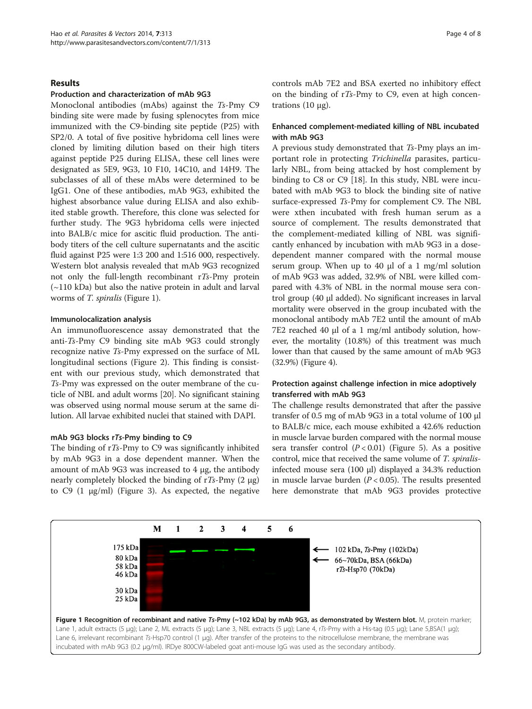#### Results

#### Production and characterization of mAb 9G3

Monoclonal antibodies (mAbs) against the Ts-Pmy C9 binding site were made by fusing splenocytes from mice immunized with the C9-binding site peptide (P25) with SP2/0. A total of five positive hybridoma cell lines were cloned by limiting dilution based on their high titers against peptide P25 during ELISA, these cell lines were designated as 5E9, 9G3, 10 F10, 14C10, and 14H9. The subclasses of all of these mAbs were determined to be IgG1. One of these antibodies, mAb 9G3, exhibited the highest absorbance value during ELISA and also exhibited stable growth. Therefore, this clone was selected for further study. The 9G3 hybridoma cells were injected into BALB/c mice for ascitic fluid production. The antibody titers of the cell culture supernatants and the ascitic fluid against P25 were 1:3 200 and 1:516 000, respectively. Western blot analysis revealed that mAb 9G3 recognized not only the full-length recombinant rTs-Pmy protein (~110 kDa) but also the native protein in adult and larval worms of *T. spiralis* (Figure 1).

#### Immunolocalization analysis

An immunofluorescence assay demonstrated that the anti-Ts-Pmy C9 binding site mAb 9G3 could strongly recognize native Ts-Pmy expressed on the surface of ML longitudinal sections (Figure [2](#page-4-0)). This finding is consistent with our previous study, which demonstrated that Ts-Pmy was expressed on the outer membrane of the cuticle of NBL and adult worms [\[20](#page-6-0)]. No significant staining was observed using normal mouse serum at the same dilution. All larvae exhibited nuclei that stained with DAPI.

#### mAb 9G3 blocks rTs-Pmy binding to C9

The binding of rTs-Pmy to C9 was significantly inhibited by mAb 9G3 in a dose dependent manner. When the amount of mAb 9G3 was increased to 4 μg, the antibody nearly completely blocked the binding of rTs-Pmy  $(2 \mu g)$ to C9 (1 μg/ml) (Figure [3](#page-4-0)). As expected, the negative controls mAb 7E2 and BSA exerted no inhibitory effect on the binding of  $rT_s-Pmy$  to C9, even at high concentrations  $(10 \mu$ g).

### Enhanced complement-mediated killing of NBL incubated with mAb 9G3

A previous study demonstrated that Ts-Pmy plays an important role in protecting Trichinella parasites, particularly NBL, from being attacked by host complement by binding to C8 or C9 [\[18\]](#page-6-0). In this study, NBL were incubated with mAb 9G3 to block the binding site of native surface-expressed Ts-Pmy for complement C9. The NBL were xthen incubated with fresh human serum as a source of complement. The results demonstrated that the complement-mediated killing of NBL was significantly enhanced by incubation with mAb 9G3 in a dosedependent manner compared with the normal mouse serum group. When up to 40  $\mu$ l of a 1 mg/ml solution of mAb 9G3 was added, 32.9% of NBL were killed compared with 4.3% of NBL in the normal mouse sera control group (40 μl added). No significant increases in larval mortality were observed in the group incubated with the monoclonal antibody mAb 7E2 until the amount of mAb 7E2 reached 40 μl of a 1 mg/ml antibody solution, however, the mortality (10.8%) of this treatment was much lower than that caused by the same amount of mAb 9G3 (32.9%) (Figure [4\)](#page-5-0).

### Protection against challenge infection in mice adoptively transferred with mAb 9G3

The challenge results demonstrated that after the passive transfer of 0.5 mg of mAb 9G3 in a total volume of 100 μl to BALB/c mice, each mouse exhibited a 42.6% reduction in muscle larvae burden compared with the normal mouse sera transfer control  $(P < 0.01)$  (Figure [5\)](#page-5-0). As a positive control, mice that received the same volume of T. spiralisinfected mouse sera (100 μl) displayed a 34.3% reduction in muscle larvae burden  $(P < 0.05)$ . The results presented here demonstrate that mAb 9G3 provides protective

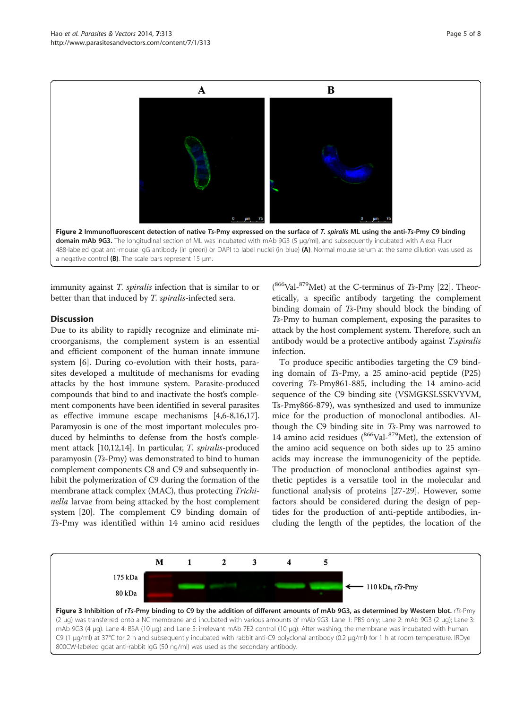<span id="page-4-0"></span>

immunity against *T. spiralis* infection that is similar to or better than that induced by T. spiralis-infected sera.

#### **Discussion**

Due to its ability to rapidly recognize and eliminate microorganisms, the complement system is an essential and efficient component of the human innate immune system [[6\]](#page-6-0). During co-evolution with their hosts, parasites developed a multitude of mechanisms for evading attacks by the host immune system. Parasite-produced compounds that bind to and inactivate the host's complement components have been identified in several parasites as effective immune escape mechanisms [\[4,6-8,16,17](#page-6-0)]. Paramyosin is one of the most important molecules produced by helminths to defense from the host's complement attack [[10,12,14\]](#page-6-0). In particular, T. spiralis-produced paramyosin (Ts-Pmy) was demonstrated to bind to human complement components C8 and C9 and subsequently inhibit the polymerization of C9 during the formation of the membrane attack complex (MAC), thus protecting Trichinella larvae from being attacked by the host complement system [\[20\]](#page-6-0). The complement C9 binding domain of Ts-Pmy was identified within 14 amino acid residues

 $(^{866}\text{Val}$ - $^{879}\text{Met})$  at the C-terminus of Ts-Pmy [[22](#page-6-0)]. Theoretically, a specific antibody targeting the complement binding domain of Ts-Pmy should block the binding of Ts-Pmy to human complement, exposing the parasites to attack by the host complement system. Therefore, such an antibody would be a protective antibody against T.spiralis infection.

To produce specific antibodies targeting the C9 binding domain of Ts-Pmy, a 25 amino-acid peptide (P25) covering Ts-Pmy861-885, including the 14 amino-acid sequence of the C9 binding site (VSMGKSLSSKVYVM, Ts-Pmy866-879), was synthesized and used to immunize mice for the production of monoclonal antibodies. Although the C9 binding site in Ts-Pmy was narrowed to 14 amino acid residues  $(866$ Val- $879$ Met), the extension of the amino acid sequence on both sides up to 25 amino acids may increase the immunogenicity of the peptide. The production of monoclonal antibodies against synthetic peptides is a versatile tool in the molecular and functional analysis of proteins [[27](#page-6-0)[-29](#page-7-0)]. However, some factors should be considered during the design of peptides for the production of anti-peptide antibodies, including the length of the peptides, the location of the

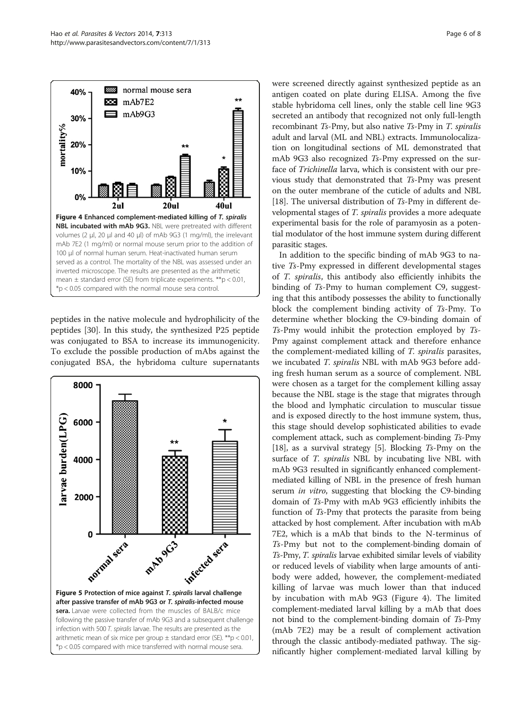<span id="page-5-0"></span>

peptides in the native molecule and hydrophilicity of the peptides [\[30](#page-7-0)]. In this study, the synthesized P25 peptide was conjugated to BSA to increase its immunogenicity. To exclude the possible production of mAbs against the conjugated BSA, the hybridoma culture supernatants



were screened directly against synthesized peptide as an antigen coated on plate during ELISA. Among the five stable hybridoma cell lines, only the stable cell line 9G3 secreted an antibody that recognized not only full-length recombinant Ts-Pmy, but also native Ts-Pmy in T. spiralis adult and larval (ML and NBL) extracts. Immunolocalization on longitudinal sections of ML demonstrated that mAb 9G3 also recognized Ts-Pmy expressed on the surface of Trichinella larva, which is consistent with our previous study that demonstrated that Ts-Pmy was present on the outer membrane of the cuticle of adults and NBL [[18](#page-6-0)]. The universal distribution of Ts-Pmy in different developmental stages of T. spiralis provides a more adequate experimental basis for the role of paramyosin as a potential modulator of the host immune system during different parasitic stages.

In addition to the specific binding of mAb 9G3 to native Ts-Pmy expressed in different developmental stages of T. spiralis, this antibody also efficiently inhibits the binding of Ts-Pmy to human complement C9, suggesting that this antibody possesses the ability to functionally block the complement binding activity of Ts-Pmy. To determine whether blocking the C9-binding domain of Ts-Pmy would inhibit the protection employed by Ts-Pmy against complement attack and therefore enhance the complement-mediated killing of T. spiralis parasites, we incubated T. spiralis NBL with mAb 9G3 before adding fresh human serum as a source of complement. NBL were chosen as a target for the complement killing assay because the NBL stage is the stage that migrates through the blood and lymphatic circulation to muscular tissue and is exposed directly to the host immune system, thus, this stage should develop sophisticated abilities to evade complement attack, such as complement-binding Ts-Pmy [[18](#page-6-0)], as a survival strategy [[5](#page-6-0)]. Blocking  $Ts$ -Pmy on the surface of *T. spiralis* NBL by incubating live NBL with mAb 9G3 resulted in significantly enhanced complementmediated killing of NBL in the presence of fresh human serum *in vitro*, suggesting that blocking the C9-binding domain of Ts-Pmy with mAb 9G3 efficiently inhibits the function of Ts-Pmy that protects the parasite from being attacked by host complement. After incubation with mAb 7E2, which is a mAb that binds to the N-terminus of Ts-Pmy but not to the complement-binding domain of Ts-Pmy, T. spiralis larvae exhibited similar levels of viability or reduced levels of viability when large amounts of antibody were added, however, the complement-mediated killing of larvae was much lower than that induced by incubation with mAb 9G3 (Figure 4). The limited complement-mediated larval killing by a mAb that does not bind to the complement-binding domain of Ts-Pmy (mAb 7E2) may be a result of complement activation through the classic antibody-mediated pathway. The significantly higher complement-mediated larval killing by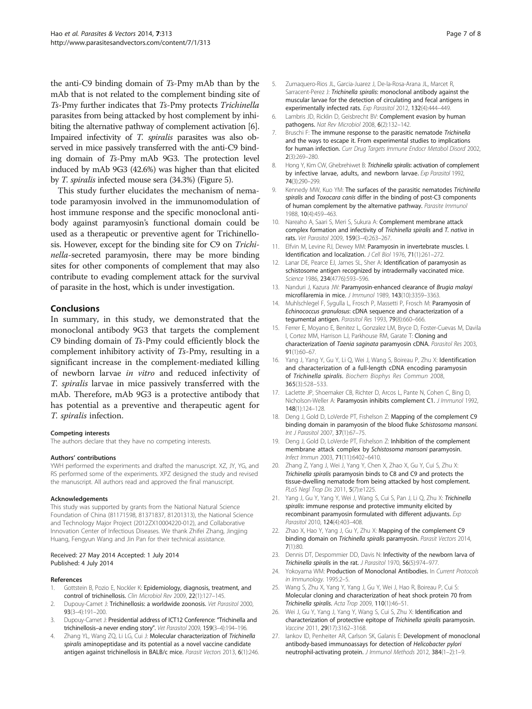<span id="page-6-0"></span>the anti-C9 binding domain of Ts-Pmy mAb than by the mAb that is not related to the complement binding site of Ts-Pmy further indicates that Ts-Pmy protects Trichinella parasites from being attacked by host complement by inhibiting the alternative pathway of complement activation [6]. Impaired infectivity of T. spiralis parasites was also observed in mice passively transferred with the anti-C9 binding domain of Ts-Pmy mAb 9G3. The protection level induced by mAb 9G3 (42.6%) was higher than that elicited by T. spiralis infected mouse sera (34.3%) (Figure [5](#page-5-0)).

This study further elucidates the mechanism of nematode paramyosin involved in the immunomodulation of host immune response and the specific monoclonal antibody against paramyosin's functional domain could be used as a therapeutic or preventive agent for Trichinellosis. However, except for the binding site for C9 on Trichinella-secreted paramyosin, there may be more binding sites for other components of complement that may also contribute to evading complement attack for the survival of parasite in the host, which is under investigation.

#### Conclusions

In summary, in this study, we demonstrated that the monoclonal antibody 9G3 that targets the complement C9 binding domain of Ts-Pmy could efficiently block the complement inhibitory activity of Ts-Pmy, resulting in a significant increase in the complement-mediated killing of newborn larvae in vitro and reduced infectivity of T. spiralis larvae in mice passively transferred with the mAb. Therefore, mAb 9G3 is a protective antibody that has potential as a preventive and therapeutic agent for T. spiralis infection.

#### Competing interests

The authors declare that they have no competing interests.

#### Authors' contributions

YWH performed the experiments and drafted the manuscript. XZ, JY, YG, and RS performed some of the experiments. XPZ designed the study and revised the manuscript. All authors read and approved the final manuscript.

#### Acknowledgements

This study was supported by grants from the National Natural Science Foundation of China (81171598, 81371837, 81201313), the National Science and Technology Major Project (2012ZX10004220-012), and Collaborative Innovation Center of Infectious Diseases. We thank Zhifei Zhang, Jingjing Huang, Fengyun Wang and Jin Pan for their technical assistance.

#### Received: 27 May 2014 Accepted: 1 July 2014 Published: 4 July 2014

#### References

- 1. Gottstein B, Pozio E, Nockler K: Epidemiology, diagnosis, treatment, and control of trichinellosis. Clin Microbiol Rev 2009, 22(1):127–145.
- Dupouy-Camet J: Trichinellosis: a worldwide zoonosis. Vet Parasitol 2000, 93(3–4):191–200.
- 3. Dupouy-Camet J: Presidential address of ICT12 Conference: "Trichinella and trichinellosis–a never ending story". Vet Parasitol 2009, 159(3–4):194–196.
- 4. Zhang YL, Wang ZQ, Li LG, Cui J: Molecular characterization of Trichinella spiralis aminopeptidase and its potential as a novel vaccine candidate antigen against trichinellosis in BALB/c mice. Parasit Vectors 2013, 6(1):246.
- 5. Zumaquero-Rios JL, Garcia-Juarez J, De-la-Rosa-Arana JL, Marcet R, Sarracent-Perez J: Trichinella spiralis: monoclonal antibody against the muscular larvae for the detection of circulating and fecal antigens in experimentally infected rats. Exp Parasitol 2012, 132(4):444–449.
- 6. Lambris JD, Ricklin D, Geisbrecht BV: Complement evasion by human pathogens. Nat Rev Microbiol 2008, 6(2):132–142.
- 7. Bruschi F: The immune response to the parasitic nematode Trichinella and the ways to escape it. From experimental studies to implications for human infection. Curr Drug Targets Immune Endocr Metabol Disord 2002, 2(3):269–280.
- 8. Hong Y, Kim CW, Ghebrehiwet B: Trichinella spiralis: activation of complement by infective larvae, adults, and newborn larvae. Exp Parasitol 1992, 74(3):290–299.
- 9. Kennedy MW, Kuo YM: The surfaces of the parasitic nematodes Trichinella spiralis and Toxocara canis differ in the binding of post-C3 components of human complement by the alternative pathway. Parasite Immunol 1988, 10(4):459–463.
- 10. Nareaho A, Saari S, Meri S, Sukura A: Complement membrane attack complex formation and infectivity of Trichinella spiralis and T. nativa in rats. Vet Parasitol 2009, 159(3–4):263–267.
- 11. Elfvin M, Levine RJ, Dewey MM: Paramyosin in invertebrate muscles. I. Identification and localization. J Cell Biol 1976, 71(1):261-272.
- 12. Lanar DE, Pearce EJ, James SL, Sher A: Identification of paramyosin as schistosome antigen recognized by intradermally vaccinated mice. Science 1986, 234(4776):593-596.
- 13. Nanduri J, Kazura JW: Paramyosin-enhanced clearance of Brugia malayi microfilaremia in mice. J Immunol 1989, 143(10):3359–3363.
- 14. Muhlschlegel F, Sygulla L, Frosch P, Massetti P, Frosch M: Paramyosin of Echinococcus granulosus: cDNA sequence and characterization of a tegumental antigen. Parasitol Res 1993, 79(8):660-666.
- 15. Ferrer E, Moyano E, Benitez L, Gonzalez LM, Bryce D, Foster-Cuevas M, Davila I, Cortez MM, Harrison LJ, Parkhouse RM, Garate T: Cloning and characterization of Taenia saginata paramyosin cDNA. Parasitol Res 2003, 91(1):60–67.
- 16. Yang J, Yang Y, Gu Y, Li Q, Wei J, Wang S, Boireau P, Zhu X: Identification and characterization of a full-length cDNA encoding paramyosin of Trichinella spiralis. Biochem Biophys Res Commun 2008, 365(3):528–533.
- 17. Laclette JP, Shoemaker CB, Richter D, Arcos L, Pante N, Cohen C, Bing D, Nicholson-Weller A: Paramyosin inhibits complement C1. J Immunol 1992, 148(1):124–128.
- 18. Deng J, Gold D, LoVerde PT, Fishelson Z: Mapping of the complement C9 binding domain in paramyosin of the blood fluke Schistosoma mansoni. Int J Parasitol 2007, 37(1):67–75.
- 19. Deng J, Gold D, LoVerde PT, Fishelson Z: Inhibition of the complement membrane attack complex by Schistosoma mansoni paramyosin. Infect Immun 2003, 71(11):6402–6410.
- 20. Zhang Z, Yang J, Wei J, Yang Y, Chen X, Zhao X, Gu Y, Cui S, Zhu X: Trichinella spiralis paramyosin binds to C8 and C9 and protects the tissue-dwelling nematode from being attacked by host complement. PLoS Negl Trop Dis 2011, 5(7):e1225.
- 21. Yang J, Gu Y, Yang Y, Wei J, Wang S, Cui S, Pan J, Li Q, Zhu X: Trichinella spiralis: immune response and protective immunity elicited by recombinant paramyosin formulated with different adjuvants. Exp Parasitol 2010, 124(4):403–408.
- 22. Zhao X, Hao Y, Yang J, Gu Y, Zhu X: Mapping of the complement C9 binding domain on Trichinella spiralis paramyosin. Parasit Vectors 2014, 7(1):80.
- 23. Dennis DT, Despommier DD, Davis N: Infectivity of the newborn larva of Trichinella spiralis in the rat. J Parasitol 1970, <sup>56</sup>(5):974–977.
- 24. Yokoyama WM: Production of Monoclonal Antibodies. In Current Protocols in Immunology. 1995:2–5.
- 25. Wang S, Zhu X, Yang Y, Yang J, Gu Y, Wei J, Hao R, Boireau P, Cui S: Molecular cloning and characterization of heat shock protein 70 from Trichinella spiralis. Acta Trop 2009, <sup>110</sup>(1):46–51.
- 26. Wei J, Gu Y, Yang J, Yang Y, Wang S, Cui S, Zhu X: Identification and characterization of protective epitope of Trichinella spiralis paramyosin. Vaccine 2011, 29(17):3162–3168.
- 27. Iankov ID, Penheiter AR, Carlson SK, Galanis E: Development of monoclonal antibody-based immunoassays for detection of Helicobacter pylori neutrophil-activating protein. J Immunol Methods 2012, 384(1–2):1–9.